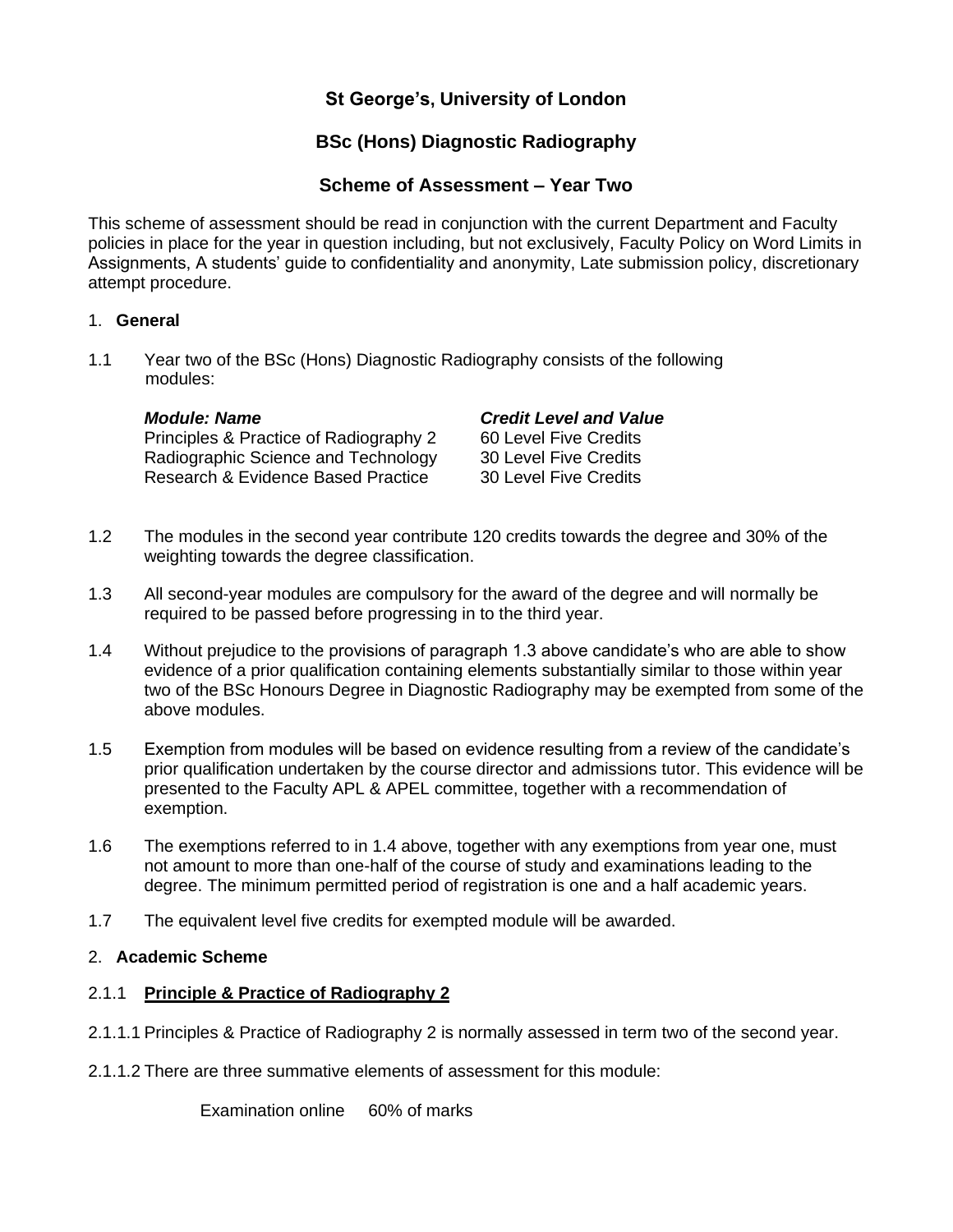# **St George's, University of London**

# **BSc (Hons) Diagnostic Radiography**

## **Scheme of Assessment – Year Two**

This scheme of assessment should be read in conjunction with the current Department and Faculty policies in place for the year in question including, but not exclusively, Faculty Policy on Word Limits in Assignments, A students' guide to confidentiality and anonymity, Late submission policy, discretionary attempt procedure.

### 1. **General**

1.1 Year two of the BSc (Hons) Diagnostic Radiography consists of the following modules:

Principles & Practice of Radiography 2 60 Level Five Credits Radiographic Science and Technology 30 Level Five Credits Research & Evidence Based Practice 30 Level Five Credits

### *Module: Name Credit Level and Value*

- 1.2 The modules in the second year contribute 120 credits towards the degree and 30% of the weighting towards the degree classification.
- 1.3 All second-year modules are compulsory for the award of the degree and will normally be required to be passed before progressing in to the third year.
- 1.4 Without prejudice to the provisions of paragraph 1.3 above candidate's who are able to show evidence of a prior qualification containing elements substantially similar to those within year two of the BSc Honours Degree in Diagnostic Radiography may be exempted from some of the above modules.
- 1.5 Exemption from modules will be based on evidence resulting from a review of the candidate's prior qualification undertaken by the course director and admissions tutor. This evidence will be presented to the Faculty APL & APEL committee, together with a recommendation of exemption.
- 1.6 The exemptions referred to in 1.4 above, together with any exemptions from year one, must not amount to more than one-half of the course of study and examinations leading to the degree. The minimum permitted period of registration is one and a half academic years.
- 1.7 The equivalent level five credits for exempted module will be awarded.

## 2. **Academic Scheme**

## 2.1.1 **Principle & Practice of Radiography 2**

- 2.1.1.1 Principles & Practice of Radiography 2 is normally assessed in term two of the second year.
- 2.1.1.2 There are three summative elements of assessment for this module:

Examination online 60% of marks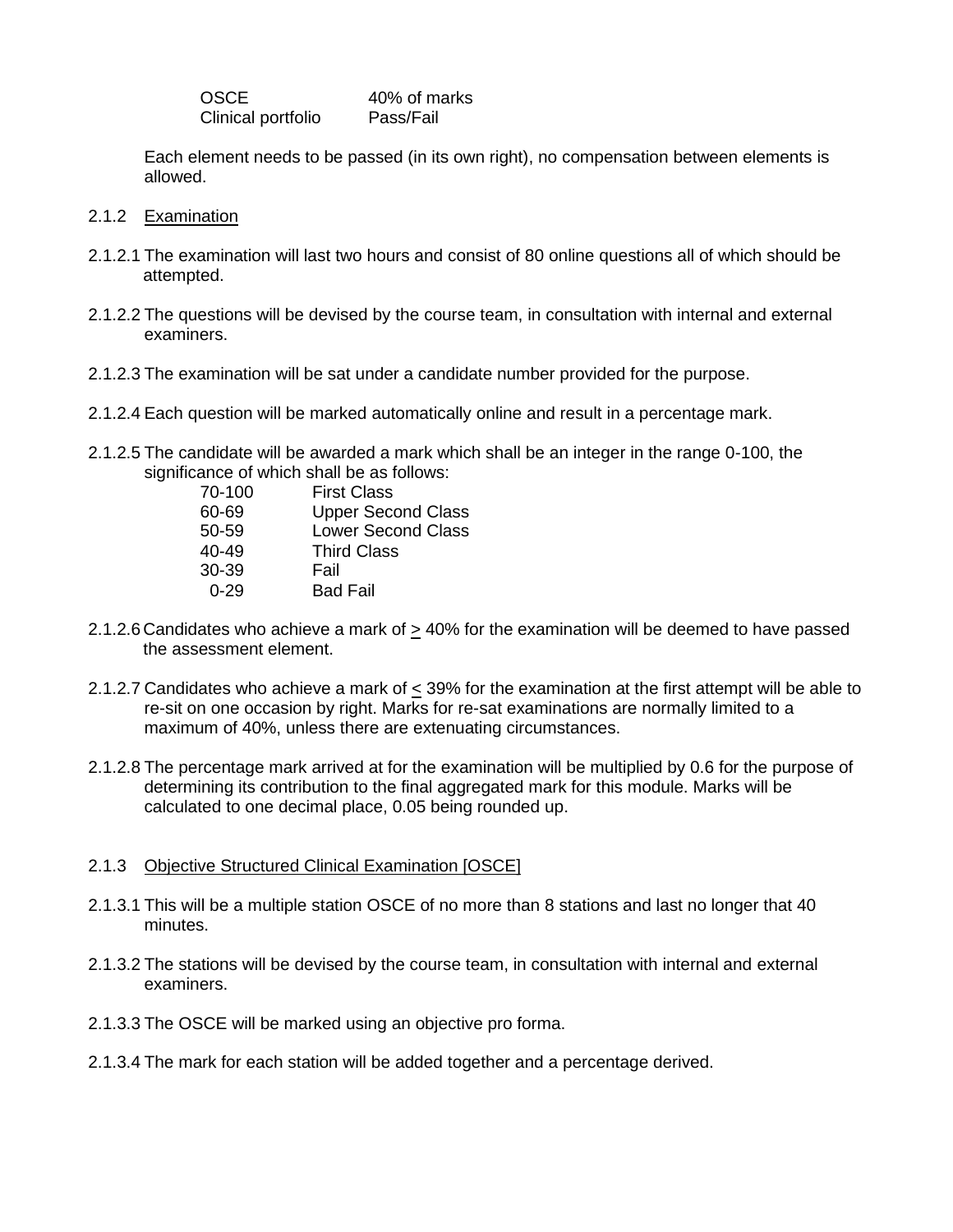OSCE 40% of marks Clinical portfolio Pass/Fail

Each element needs to be passed (in its own right), no compensation between elements is allowed.

- 2.1.2 Examination
- 2.1.2.1 The examination will last two hours and consist of 80 online questions all of which should be attempted.
- 2.1.2.2 The questions will be devised by the course team, in consultation with internal and external examiners.
- 2.1.2.3 The examination will be sat under a candidate number provided for the purpose.
- 2.1.2.4 Each question will be marked automatically online and result in a percentage mark.
- 2.1.2.5 The candidate will be awarded a mark which shall be an integer in the range 0-100, the significance of which shall be as follows:

| <b>First Class</b>        |
|---------------------------|
| <b>Upper Second Class</b> |
| <b>Lower Second Class</b> |
| <b>Third Class</b>        |
| Fail                      |
| <b>Bad Fail</b>           |
|                           |

- 2.1.2.6 Candidates who achieve a mark of  $\geq$  40% for the examination will be deemed to have passed the assessment element.
- 2.1.2.7 Candidates who achieve a mark of < 39% for the examination at the first attempt will be able to re-sit on one occasion by right. Marks for re-sat examinations are normally limited to a maximum of 40%, unless there are extenuating circumstances.
- 2.1.2.8 The percentage mark arrived at for the examination will be multiplied by 0.6 for the purpose of determining its contribution to the final aggregated mark for this module. Marks will be calculated to one decimal place, 0.05 being rounded up.

#### 2.1.3 Objective Structured Clinical Examination [OSCE]

- 2.1.3.1 This will be a multiple station OSCE of no more than 8 stations and last no longer that 40 minutes.
- 2.1.3.2 The stations will be devised by the course team, in consultation with internal and external examiners.
- 2.1.3.3 The OSCE will be marked using an objective pro forma.
- 2.1.3.4 The mark for each station will be added together and a percentage derived.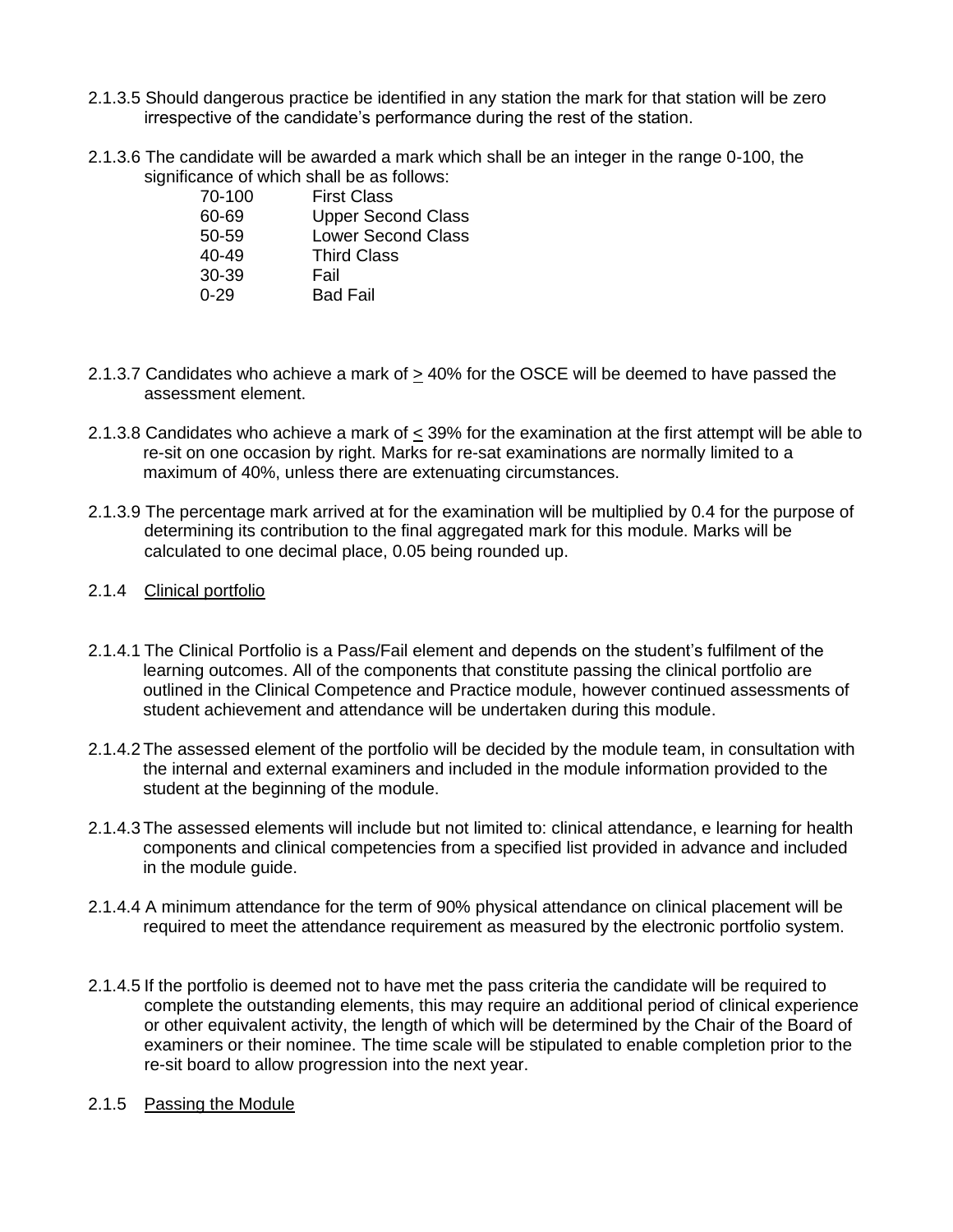- 2.1.3.5 Should dangerous practice be identified in any station the mark for that station will be zero irrespective of the candidate's performance during the rest of the station.
- 2.1.3.6 The candidate will be awarded a mark which shall be an integer in the range 0-100, the significance of which shall be as follows:

| 70-100    | <b>First Class</b>        |
|-----------|---------------------------|
| 60-69     | <b>Upper Second Class</b> |
| 50-59     | <b>Lower Second Class</b> |
| $40 - 49$ | <b>Third Class</b>        |
| 30-39     | Fail                      |
| በ-29      | <b>Bad Fail</b>           |

- 2.1.3.7 Candidates who achieve a mark of  $\geq$  40% for the OSCE will be deemed to have passed the assessment element.
- 2.1.3.8 Candidates who achieve a mark of  $\leq$  39% for the examination at the first attempt will be able to re-sit on one occasion by right. Marks for re-sat examinations are normally limited to a maximum of 40%, unless there are extenuating circumstances.
- 2.1.3.9 The percentage mark arrived at for the examination will be multiplied by 0.4 for the purpose of determining its contribution to the final aggregated mark for this module. Marks will be calculated to one decimal place, 0.05 being rounded up.
- 2.1.4 Clinical portfolio
- 2.1.4.1 The Clinical Portfolio is a Pass/Fail element and depends on the student's fulfilment of the learning outcomes. All of the components that constitute passing the clinical portfolio are outlined in the Clinical Competence and Practice module, however continued assessments of student achievement and attendance will be undertaken during this module.
- 2.1.4.2The assessed element of the portfolio will be decided by the module team, in consultation with the internal and external examiners and included in the module information provided to the student at the beginning of the module.
- 2.1.4.3The assessed elements will include but not limited to: clinical attendance, e learning for health components and clinical competencies from a specified list provided in advance and included in the module guide.
- 2.1.4.4 A minimum attendance for the term of 90% physical attendance on clinical placement will be required to meet the attendance requirement as measured by the electronic portfolio system.
- 2.1.4.5 If the portfolio is deemed not to have met the pass criteria the candidate will be required to complete the outstanding elements, this may require an additional period of clinical experience or other equivalent activity, the length of which will be determined by the Chair of the Board of examiners or their nominee. The time scale will be stipulated to enable completion prior to the re-sit board to allow progression into the next year.
- 2.1.5 Passing the Module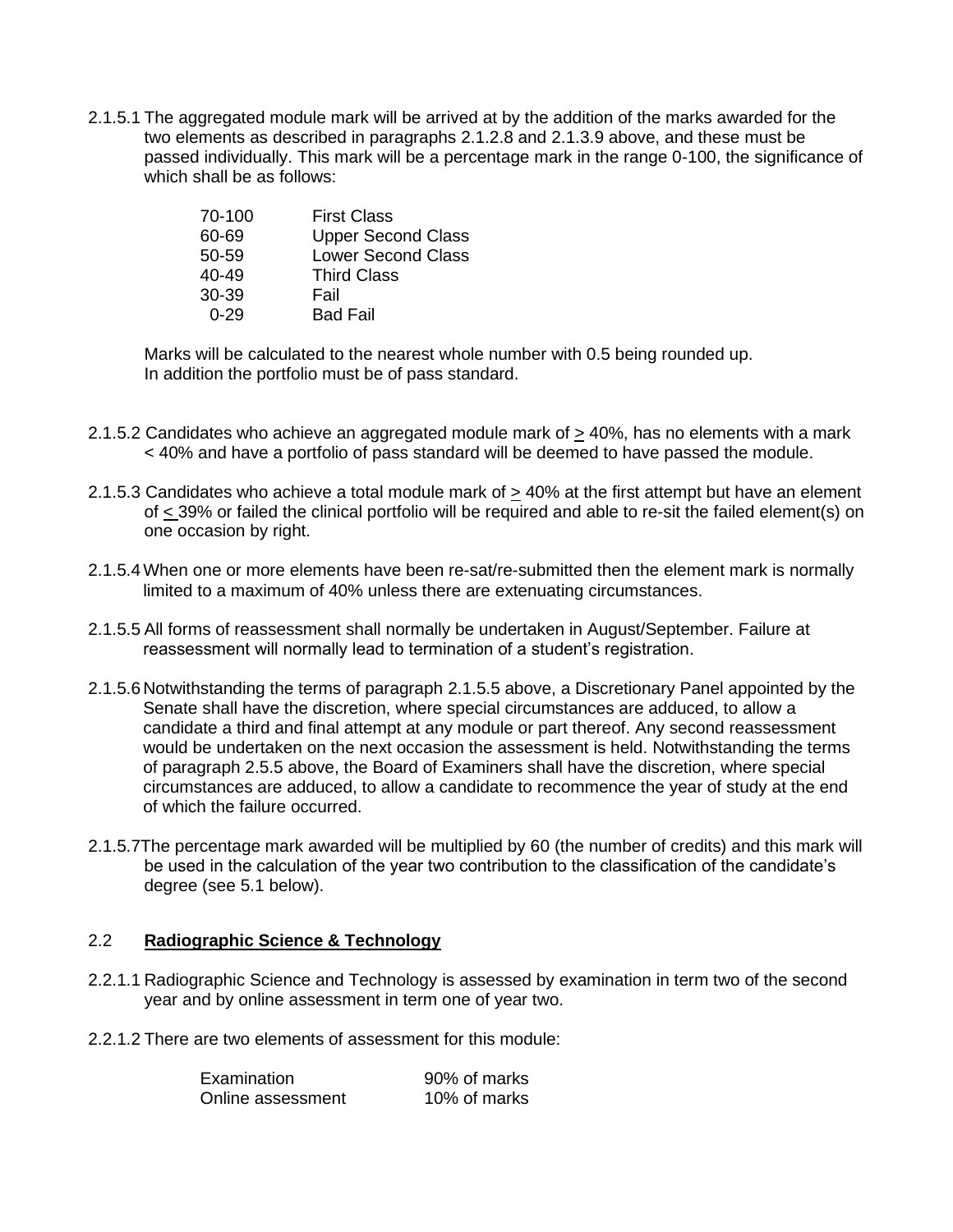2.1.5.1 The aggregated module mark will be arrived at by the addition of the marks awarded for the two elements as described in paragraphs 2.1.2.8 and 2.1.3.9 above, and these must be passed individually. This mark will be a percentage mark in the range 0-100, the significance of which shall be as follows:

| 70-100    | <b>First Class</b>        |
|-----------|---------------------------|
| 60-69     | <b>Upper Second Class</b> |
| 50-59     | <b>Lower Second Class</b> |
| $40 - 49$ | <b>Third Class</b>        |
| 30-39     | Fail                      |
| በ-29      | <b>Bad Fail</b>           |

Marks will be calculated to the nearest whole number with 0.5 being rounded up. In addition the portfolio must be of pass standard.

- 2.1.5.2 Candidates who achieve an aggregated module mark of  $\geq$  40%, has no elements with a mark < 40% and have a portfolio of pass standard will be deemed to have passed the module.
- 2.1.5.3 Candidates who achieve a total module mark of > 40% at the first attempt but have an element of < 39% or failed the clinical portfolio will be required and able to re-sit the failed element(s) on one occasion by right.
- 2.1.5.4When one or more elements have been re-sat/re-submitted then the element mark is normally limited to a maximum of 40% unless there are extenuating circumstances.
- 2.1.5.5 All forms of reassessment shall normally be undertaken in August/September. Failure at reassessment will normally lead to termination of a student's registration.
- 2.1.5.6 Notwithstanding the terms of paragraph 2.1.5.5 above, a Discretionary Panel appointed by the Senate shall have the discretion, where special circumstances are adduced, to allow a candidate a third and final attempt at any module or part thereof. Any second reassessment would be undertaken on the next occasion the assessment is held. Notwithstanding the terms of paragraph 2.5.5 above, the Board of Examiners shall have the discretion, where special circumstances are adduced, to allow a candidate to recommence the year of study at the end of which the failure occurred.
- 2.1.5.7The percentage mark awarded will be multiplied by 60 (the number of credits) and this mark will be used in the calculation of the year two contribution to the classification of the candidate's degree (see 5.1 below).

#### 2.2 **Radiographic Science & Technology**

- 2.2.1.1 Radiographic Science and Technology is assessed by examination in term two of the second year and by online assessment in term one of year two.
- 2.2.1.2 There are two elements of assessment for this module:

| Examination       | 90% of marks |
|-------------------|--------------|
| Online assessment | 10% of marks |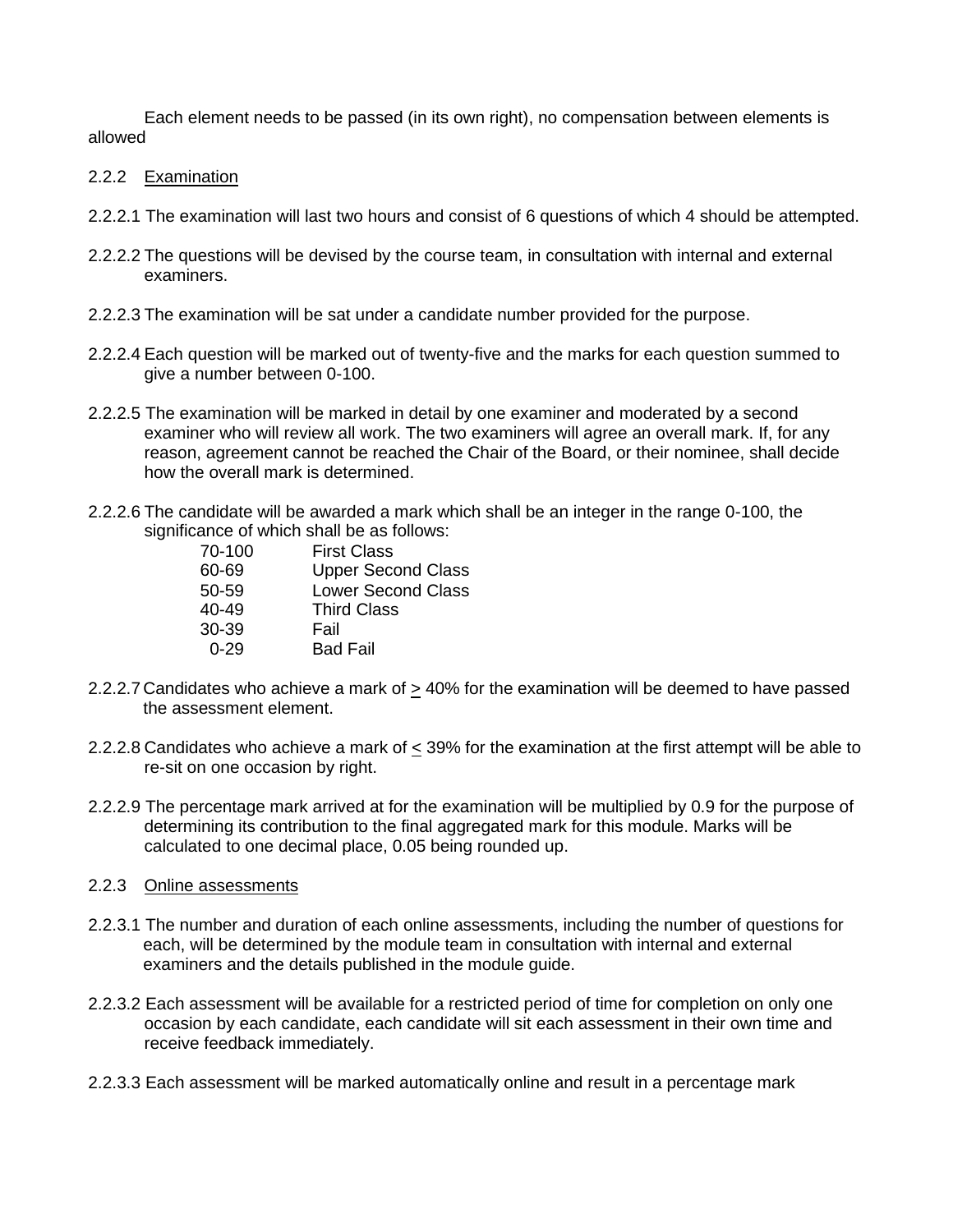Each element needs to be passed (in its own right), no compensation between elements is allowed

- 2.2.2 Examination
- 2.2.2.1 The examination will last two hours and consist of 6 questions of which 4 should be attempted.
- 2.2.2.2 The questions will be devised by the course team, in consultation with internal and external examiners.
- 2.2.2.3 The examination will be sat under a candidate number provided for the purpose.
- 2.2.2.4 Each question will be marked out of twenty-five and the marks for each question summed to give a number between 0-100.
- 2.2.2.5 The examination will be marked in detail by one examiner and moderated by a second examiner who will review all work. The two examiners will agree an overall mark. If, for any reason, agreement cannot be reached the Chair of the Board, or their nominee, shall decide how the overall mark is determined.
- 2.2.2.6 The candidate will be awarded a mark which shall be an integer in the range 0-100, the significance of which shall be as follows:

| 70-100    | First Class               |
|-----------|---------------------------|
| 60-69     | <b>Upper Second Class</b> |
| 50-59     | <b>Lower Second Class</b> |
| $40 - 49$ | <b>Third Class</b>        |
| 30-39     | Fail                      |
| $0 - 29$  | <b>Bad Fail</b>           |
|           |                           |

- 2.2.2.7 Candidates who achieve a mark of  $\geq$  40% for the examination will be deemed to have passed the assessment element.
- 2.2.2.8 Candidates who achieve a mark of  $\leq$  39% for the examination at the first attempt will be able to re-sit on one occasion by right.
- 2.2.2.9 The percentage mark arrived at for the examination will be multiplied by 0.9 for the purpose of determining its contribution to the final aggregated mark for this module. Marks will be calculated to one decimal place, 0.05 being rounded up.
- 2.2.3 Online assessments
- 2.2.3.1 The number and duration of each online assessments, including the number of questions for each, will be determined by the module team in consultation with internal and external examiners and the details published in the module guide.
- 2.2.3.2 Each assessment will be available for a restricted period of time for completion on only one occasion by each candidate, each candidate will sit each assessment in their own time and receive feedback immediately.
- 2.2.3.3 Each assessment will be marked automatically online and result in a percentage mark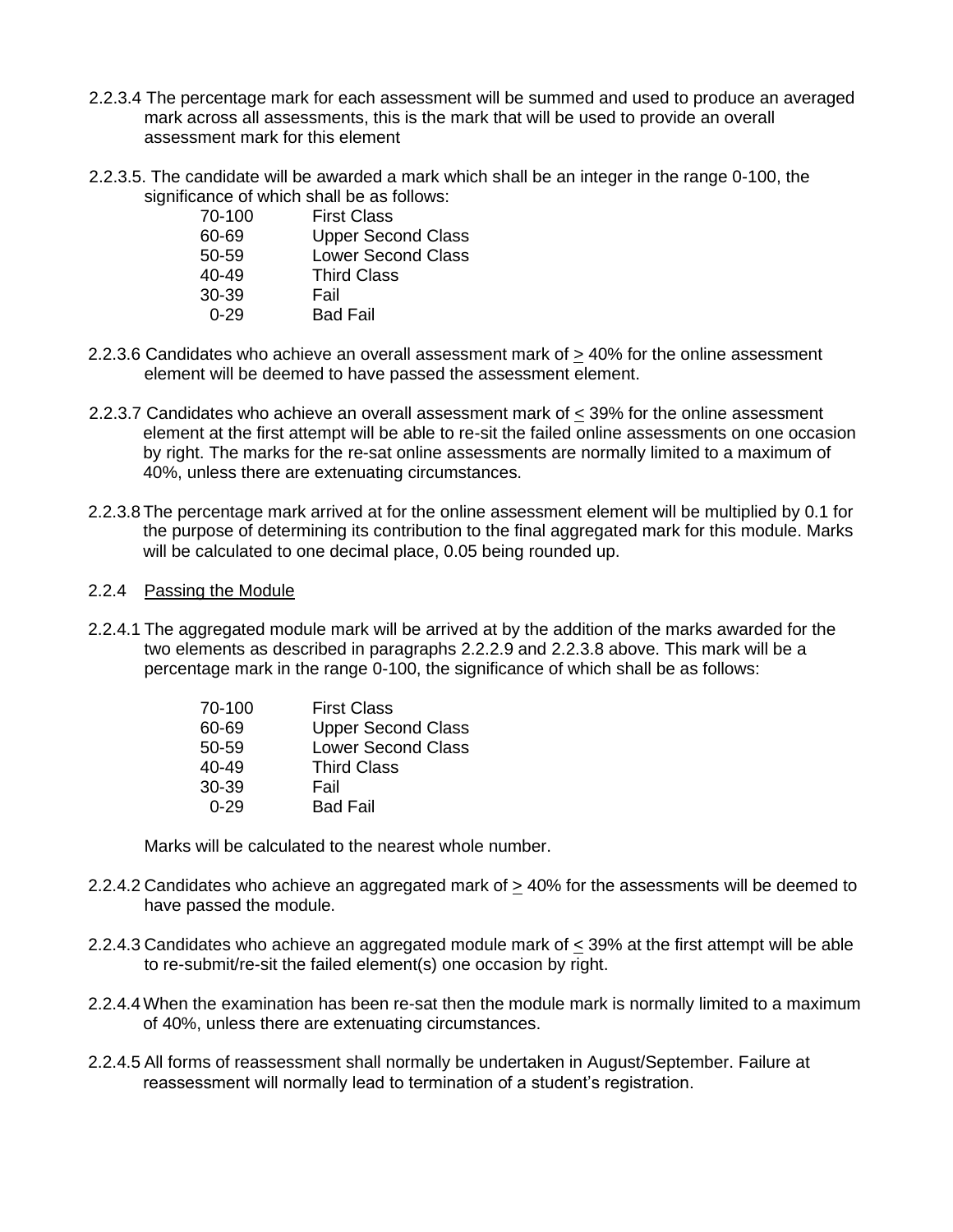- 2.2.3.4 The percentage mark for each assessment will be summed and used to produce an averaged mark across all assessments, this is the mark that will be used to provide an overall assessment mark for this element
- 2.2.3.5. The candidate will be awarded a mark which shall be an integer in the range 0-100, the significance of which shall be as follows:

| 70-100    | <b>First Class</b>        |
|-----------|---------------------------|
| 60-69     | <b>Upper Second Class</b> |
| 50-59     | <b>Lower Second Class</b> |
| $40 - 49$ | <b>Third Class</b>        |
| 30-39     | Fail                      |
| 0-29      | <b>Bad Fail</b>           |

- 2.2.3.6 Candidates who achieve an overall assessment mark of > 40% for the online assessment element will be deemed to have passed the assessment element.
- 2.2.3.7 Candidates who achieve an overall assessment mark of < 39% for the online assessment element at the first attempt will be able to re-sit the failed online assessments on one occasion by right. The marks for the re-sat online assessments are normally limited to a maximum of 40%, unless there are extenuating circumstances.
- 2.2.3.8The percentage mark arrived at for the online assessment element will be multiplied by 0.1 for the purpose of determining its contribution to the final aggregated mark for this module. Marks will be calculated to one decimal place, 0.05 being rounded up.

#### 2.2.4 Passing the Module

2.2.4.1 The aggregated module mark will be arrived at by the addition of the marks awarded for the two elements as described in paragraphs 2.2.2.9 and 2.2.3.8 above. This mark will be a percentage mark in the range 0-100, the significance of which shall be as follows:

| 70-100    | <b>First Class</b>        |
|-----------|---------------------------|
| 60-69     | <b>Upper Second Class</b> |
| 50-59     | <b>Lower Second Class</b> |
| $40 - 49$ | <b>Third Class</b>        |
| $30-39$   | Fail                      |
| 0-29      | <b>Bad Fail</b>           |

Marks will be calculated to the nearest whole number.

- 2.2.4.2 Candidates who achieve an aggregated mark of  $\geq$  40% for the assessments will be deemed to have passed the module.
- 2.2.4.3 Candidates who achieve an aggregated module mark of < 39% at the first attempt will be able to re-submit/re-sit the failed element(s) one occasion by right.
- 2.2.4.4When the examination has been re-sat then the module mark is normally limited to a maximum of 40%, unless there are extenuating circumstances.
- 2.2.4.5 All forms of reassessment shall normally be undertaken in August/September. Failure at reassessment will normally lead to termination of a student's registration.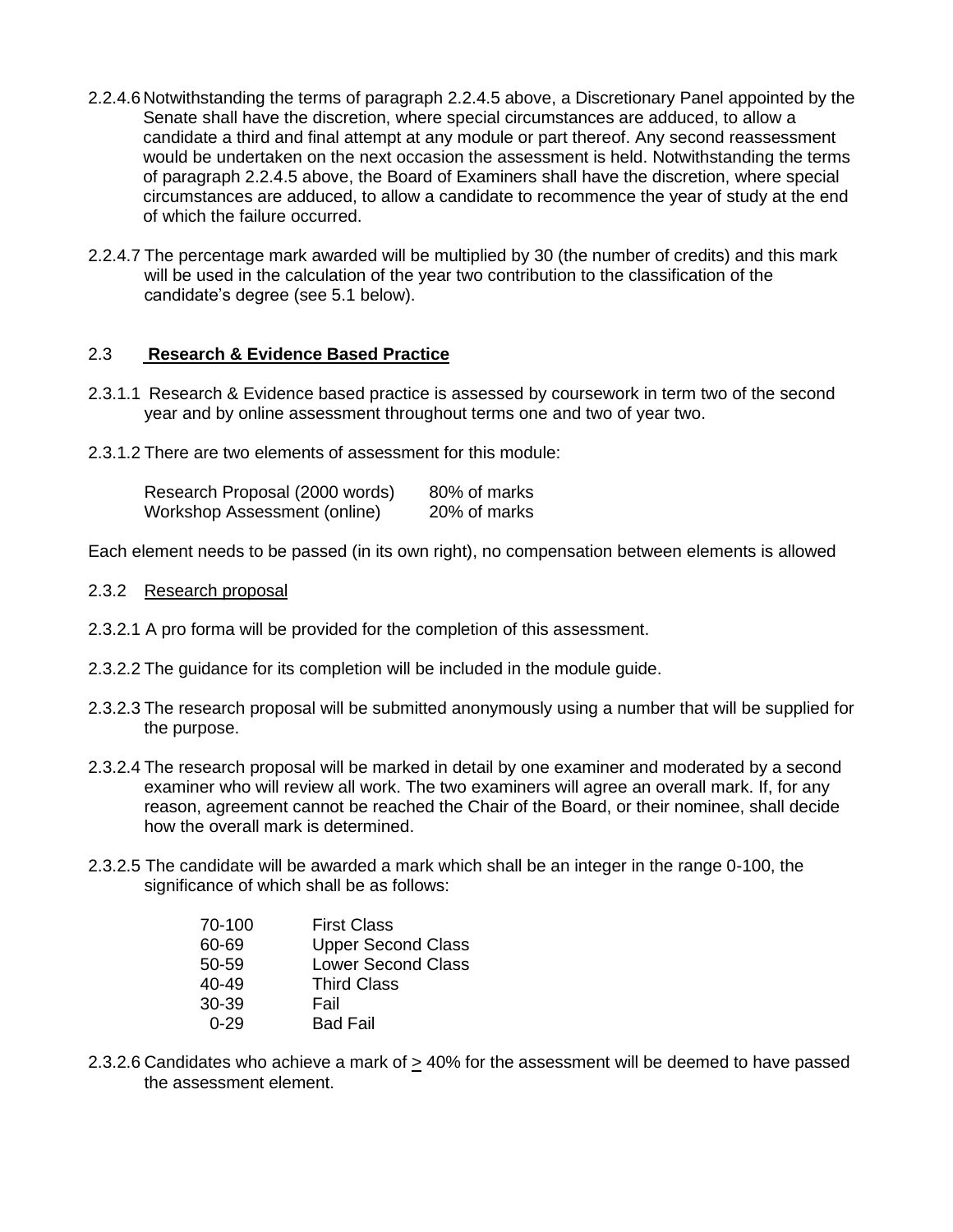- 2.2.4.6 Notwithstanding the terms of paragraph 2.2.4.5 above, a Discretionary Panel appointed by the Senate shall have the discretion, where special circumstances are adduced, to allow a candidate a third and final attempt at any module or part thereof. Any second reassessment would be undertaken on the next occasion the assessment is held. Notwithstanding the terms of paragraph 2.2.4.5 above, the Board of Examiners shall have the discretion, where special circumstances are adduced, to allow a candidate to recommence the year of study at the end of which the failure occurred.
- 2.2.4.7 The percentage mark awarded will be multiplied by 30 (the number of credits) and this mark will be used in the calculation of the year two contribution to the classification of the candidate's degree (see 5.1 below).

### 2.3 **Research & Evidence Based Practice**

- 2.3.1.1 Research & Evidence based practice is assessed by coursework in term two of the second year and by online assessment throughout terms one and two of year two.
- 2.3.1.2 There are two elements of assessment for this module:

| Research Proposal (2000 words) | 80% of marks |
|--------------------------------|--------------|
| Workshop Assessment (online)   | 20% of marks |

Each element needs to be passed (in its own right), no compensation between elements is allowed

- 2.3.2 Research proposal
- 2.3.2.1 A pro forma will be provided for the completion of this assessment.
- 2.3.2.2 The guidance for its completion will be included in the module guide.
- 2.3.2.3 The research proposal will be submitted anonymously using a number that will be supplied for the purpose.
- 2.3.2.4 The research proposal will be marked in detail by one examiner and moderated by a second examiner who will review all work. The two examiners will agree an overall mark. If, for any reason, agreement cannot be reached the Chair of the Board, or their nominee, shall decide how the overall mark is determined.
- 2.3.2.5 The candidate will be awarded a mark which shall be an integer in the range 0-100, the significance of which shall be as follows:

| 70-100 | <b>First Class</b>        |
|--------|---------------------------|
| 60-69  | <b>Upper Second Class</b> |
| 50-59  | <b>Lower Second Class</b> |
| 40-49  | <b>Third Class</b>        |
| 30-39  | Fail                      |
| በ-29   | <b>Bad Fail</b>           |

2.3.2.6 Candidates who achieve a mark of > 40% for the assessment will be deemed to have passed the assessment element.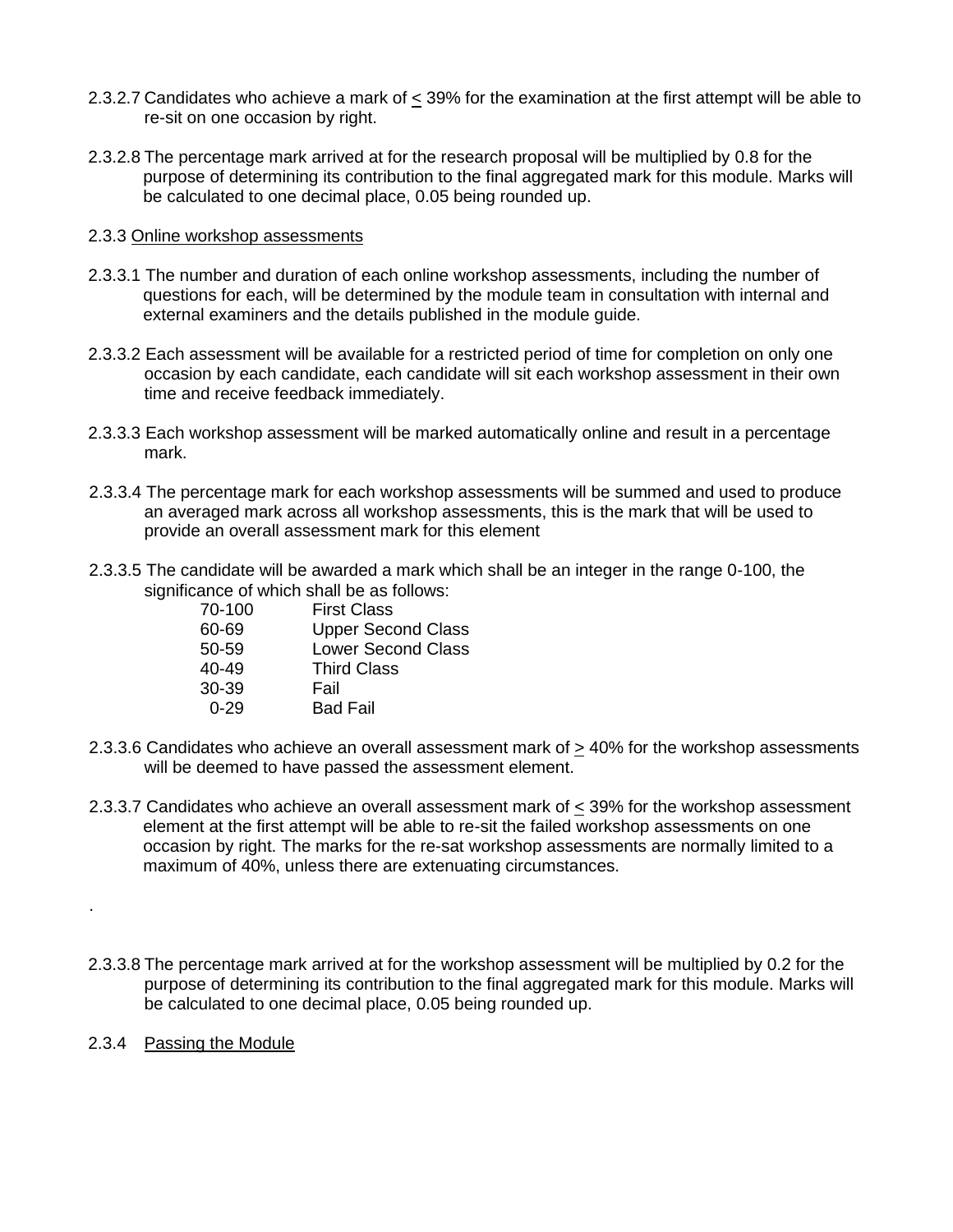- 2.3.2.7 Candidates who achieve a mark of  $\leq$  39% for the examination at the first attempt will be able to re-sit on one occasion by right.
- 2.3.2.8 The percentage mark arrived at for the research proposal will be multiplied by 0.8 for the purpose of determining its contribution to the final aggregated mark for this module. Marks will be calculated to one decimal place, 0.05 being rounded up.

### 2.3.3 Online workshop assessments

- 2.3.3.1 The number and duration of each online workshop assessments, including the number of questions for each, will be determined by the module team in consultation with internal and external examiners and the details published in the module guide.
- 2.3.3.2 Each assessment will be available for a restricted period of time for completion on only one occasion by each candidate, each candidate will sit each workshop assessment in their own time and receive feedback immediately.
- 2.3.3.3 Each workshop assessment will be marked automatically online and result in a percentage mark.
- 2.3.3.4 The percentage mark for each workshop assessments will be summed and used to produce an averaged mark across all workshop assessments, this is the mark that will be used to provide an overall assessment mark for this element
- 2.3.3.5 The candidate will be awarded a mark which shall be an integer in the range 0-100, the significance of which shall be as follows:

| 70-100    | <b>First Class</b>        |
|-----------|---------------------------|
| 60-69     | <b>Upper Second Class</b> |
| 50-59     | <b>Lower Second Class</b> |
| $40 - 49$ | <b>Third Class</b>        |
| $30-39$   | Fail                      |
| በ-29      | <b>Bad Fail</b>           |

- 2.3.3.6 Candidates who achieve an overall assessment mark of > 40% for the workshop assessments will be deemed to have passed the assessment element.
- 2.3.3.7 Candidates who achieve an overall assessment mark of < 39% for the workshop assessment element at the first attempt will be able to re-sit the failed workshop assessments on one occasion by right. The marks for the re-sat workshop assessments are normally limited to a maximum of 40%, unless there are extenuating circumstances.
- 2.3.3.8 The percentage mark arrived at for the workshop assessment will be multiplied by 0.2 for the purpose of determining its contribution to the final aggregated mark for this module. Marks will be calculated to one decimal place, 0.05 being rounded up.
- 2.3.4 Passing the Module

.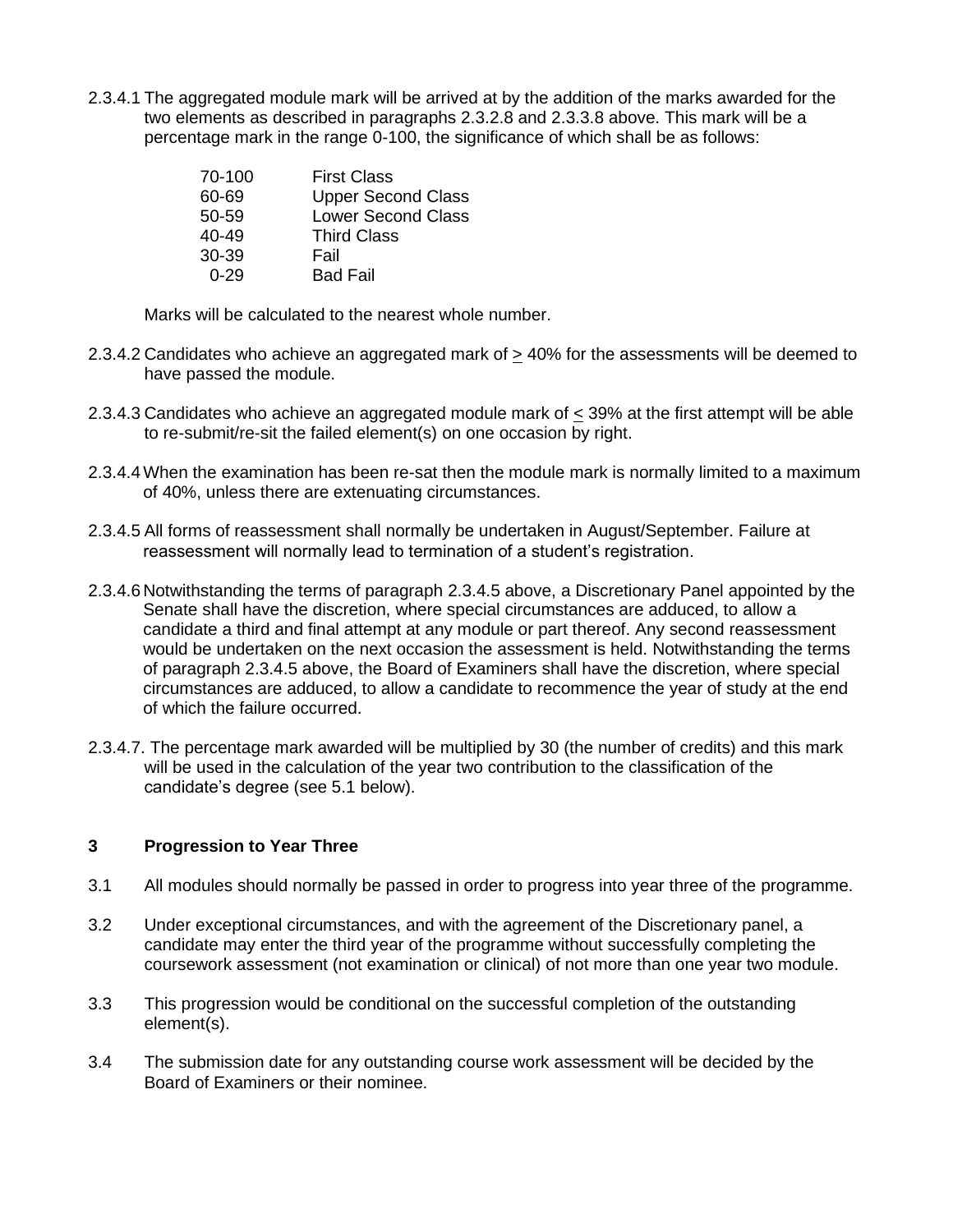2.3.4.1 The aggregated module mark will be arrived at by the addition of the marks awarded for the two elements as described in paragraphs 2.3.2.8 and 2.3.3.8 above. This mark will be a percentage mark in the range 0-100, the significance of which shall be as follows:

| 70-100    | <b>First Class</b>        |
|-----------|---------------------------|
| 60-69     | <b>Upper Second Class</b> |
| 50-59     | <b>Lower Second Class</b> |
| $40 - 49$ | <b>Third Class</b>        |
| 30-39     | Fail                      |
| በ-29      | <b>Bad Fail</b>           |

Marks will be calculated to the nearest whole number.

- 2.3.4.2 Candidates who achieve an aggregated mark of > 40% for the assessments will be deemed to have passed the module.
- 2.3.4.3 Candidates who achieve an aggregated module mark of < 39% at the first attempt will be able to re-submit/re-sit the failed element(s) on one occasion by right.
- 2.3.4.4When the examination has been re-sat then the module mark is normally limited to a maximum of 40%, unless there are extenuating circumstances.
- 2.3.4.5 All forms of reassessment shall normally be undertaken in August/September. Failure at reassessment will normally lead to termination of a student's registration.
- 2.3.4.6 Notwithstanding the terms of paragraph 2.3.4.5 above, a Discretionary Panel appointed by the Senate shall have the discretion, where special circumstances are adduced, to allow a candidate a third and final attempt at any module or part thereof. Any second reassessment would be undertaken on the next occasion the assessment is held. Notwithstanding the terms of paragraph 2.3.4.5 above, the Board of Examiners shall have the discretion, where special circumstances are adduced, to allow a candidate to recommence the year of study at the end of which the failure occurred.
- 2.3.4.7. The percentage mark awarded will be multiplied by 30 (the number of credits) and this mark will be used in the calculation of the year two contribution to the classification of the candidate's degree (see 5.1 below).

## **3 Progression to Year Three**

- 3.1 All modules should normally be passed in order to progress into year three of the programme.
- 3.2 Under exceptional circumstances, and with the agreement of the Discretionary panel, a candidate may enter the third year of the programme without successfully completing the coursework assessment (not examination or clinical) of not more than one year two module.
- 3.3 This progression would be conditional on the successful completion of the outstanding element(s).
- 3.4 The submission date for any outstanding course work assessment will be decided by the Board of Examiners or their nominee.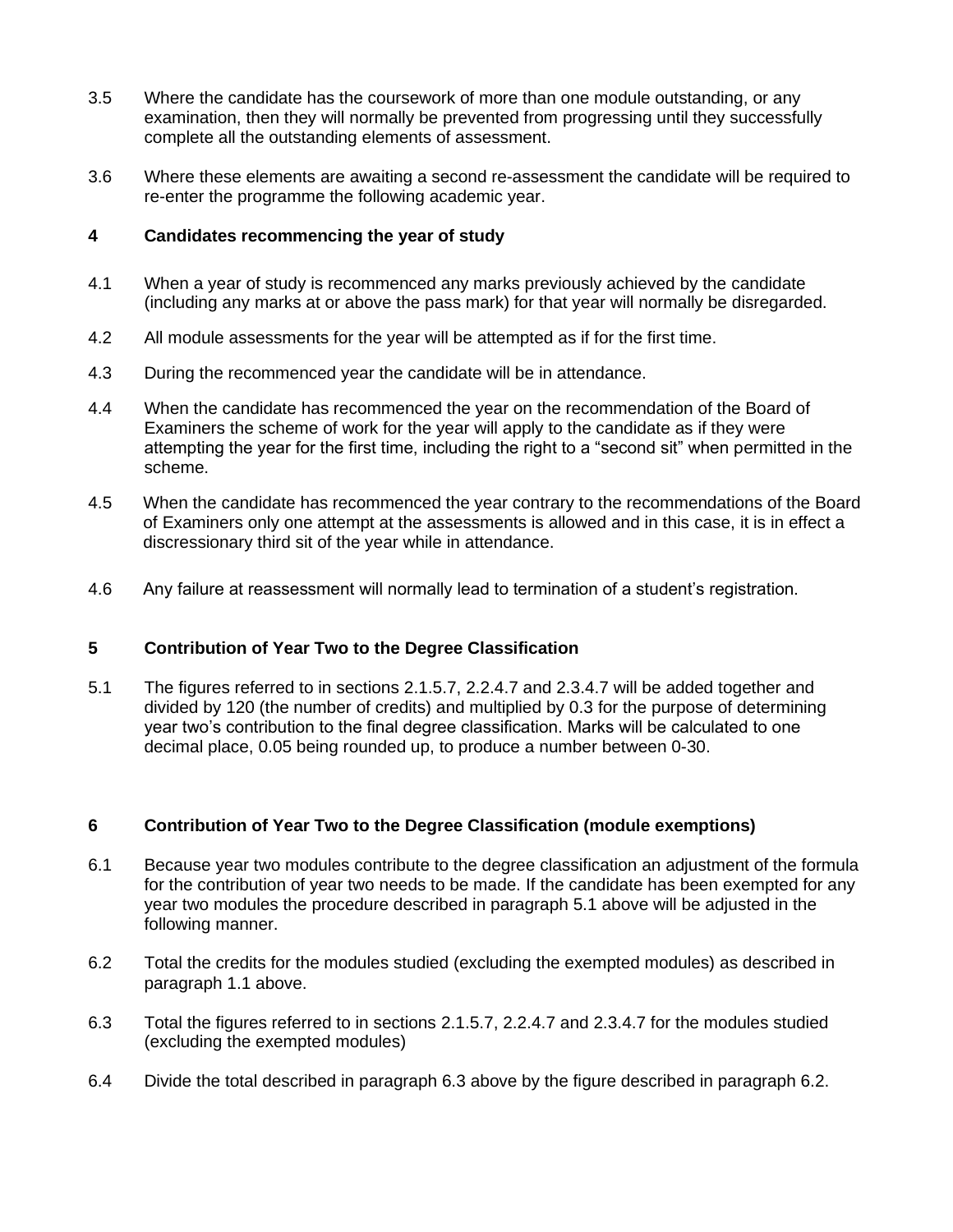- 3.5 Where the candidate has the coursework of more than one module outstanding, or any examination, then they will normally be prevented from progressing until they successfully complete all the outstanding elements of assessment.
- 3.6 Where these elements are awaiting a second re-assessment the candidate will be required to re-enter the programme the following academic year.

## **4 Candidates recommencing the year of study**

- 4.1 When a year of study is recommenced any marks previously achieved by the candidate (including any marks at or above the pass mark) for that year will normally be disregarded.
- 4.2 All module assessments for the year will be attempted as if for the first time.
- 4.3 During the recommenced year the candidate will be in attendance.
- 4.4 When the candidate has recommenced the year on the recommendation of the Board of Examiners the scheme of work for the year will apply to the candidate as if they were attempting the year for the first time, including the right to a "second sit" when permitted in the scheme.
- 4.5 When the candidate has recommenced the year contrary to the recommendations of the Board of Examiners only one attempt at the assessments is allowed and in this case, it is in effect a discressionary third sit of the year while in attendance.
- 4.6 Any failure at reassessment will normally lead to termination of a student's registration.

#### **5 Contribution of Year Two to the Degree Classification**

5.1 The figures referred to in sections 2.1.5.7, 2.2.4.7 and 2.3.4.7 will be added together and divided by 120 (the number of credits) and multiplied by 0.3 for the purpose of determining year two's contribution to the final degree classification. Marks will be calculated to one decimal place, 0.05 being rounded up, to produce a number between 0-30.

## **6 Contribution of Year Two to the Degree Classification (module exemptions)**

- 6.1 Because year two modules contribute to the degree classification an adjustment of the formula for the contribution of year two needs to be made. If the candidate has been exempted for any year two modules the procedure described in paragraph 5.1 above will be adjusted in the following manner.
- 6.2 Total the credits for the modules studied (excluding the exempted modules) as described in paragraph 1.1 above.
- 6.3 Total the figures referred to in sections 2.1.5.7, 2.2.4.7 and 2.3.4.7 for the modules studied (excluding the exempted modules)
- 6.4 Divide the total described in paragraph 6.3 above by the figure described in paragraph 6.2.